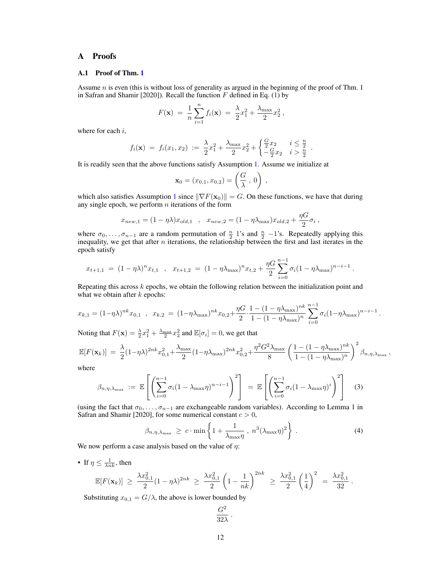# A Proofs

### A.1 Proof of Thm. 1

Assume  $n$  is even (this is without loss of generality as argued in the beginning of the proof of Thm. 1 in Safran and Shamir [2020]). Recall the function  $F$  defined in Eq. (1) by

$$
F(\mathbf{x}) = \frac{1}{n} \sum_{i=1}^{n} f_i(\mathbf{x}) = \frac{\lambda}{2} x_1^2 + \frac{\lambda_{\max}}{2} x_2^2,
$$

where for each i,

$$
f_i(\mathbf{x}) = f_i(x_1, x_2) := \frac{\lambda}{2}x_1^2 + \frac{\lambda_{\max}}{2}x_2^2 + \begin{cases} \frac{G}{2}x_2 & i \leq \frac{n}{2} \\ -\frac{G}{2}x_2 & i > \frac{n}{2} \end{cases}.
$$

It is readily seen that the above functions satisfy Assumption 1. Assume we initialize at

$$
\mathbf{x}_0 = (x_{0,1}, x_{0,2}) = \left(\frac{G}{\lambda}, 0\right),
$$

which also satisfies Assumption 1 since  $\|\nabla F(\mathbf{x}_0)\| = G$ . On these functions, we have that during any single epoch, we perform  $n$  iterations of the form

$$
x_{new,1} = (1 - \eta \lambda)x_{old,1} \quad , \quad x_{new,2} = (1 - \eta \lambda_{\text{max}})x_{old,2} + \frac{\eta G}{2}\sigma_i \ ,
$$

where  $\sigma_0, \ldots, \sigma_{n-1}$  are a random permutation of  $\frac{n}{2}$  1's and  $\frac{n}{2}$  -1's. Repeatedly applying this inequality, we get that after n iterations, the relationship between the first and last iterates in the epoch satisfy

$$
x_{t+1,1} = (1 - \eta \lambda)^n x_{t,1} , x_{t+1,2} = (1 - \eta \lambda_{\max})^n x_{t,2} + \frac{\eta G}{2} \sum_{i=0}^{n-1} \sigma_i (1 - \eta \lambda_{\max})^{n-i-1}.
$$

Repeating this across  $k$  epochs, we obtain the following relation between the initialization point and what we obtain after  $k$  epochs:

$$
x_{k,1} = (1 - \eta \lambda)^{nk} x_{0,1} , x_{k,2} = (1 - \eta \lambda_{\max})^{nk} x_{0,2} + \frac{\eta G}{2} \cdot \frac{1 - (1 - \eta \lambda_{\max})^{nk}}{1 - (1 - \eta \lambda_{\max})^n} \sum_{i=0}^{n-1} \sigma_i (1 - \eta \lambda_{\max})^{n-i-1}.
$$

Noting that  $F(\mathbf{x}) = \frac{\lambda}{2}x_1^2 + \frac{\lambda_{\text{max}}}{2}x_2^2$  and  $\mathbb{E}[\sigma_i] = 0$ , we get that

$$
\mathbb{E}[F(\mathbf{x}_k)] = \frac{\lambda}{2} (1 - \eta \lambda)^{2nk} x_{0,1}^2 + \frac{\lambda_{\max}}{2} (1 - \eta \lambda_{\max})^{2nk} x_{0,2}^2 + \frac{\eta^2 G^2 \lambda_{\max}}{8} \left( \frac{1 - (1 - \eta \lambda_{\max})^{nk}}{1 - (1 - \eta \lambda_{\max})^n} \right)^2 \beta_{n,\eta,\lambda_{\max}},
$$

where

$$
\beta_{n,\eta,\lambda_{\max}} := \mathbb{E}\left[\left(\sum_{i=0}^{n-1} \sigma_i (1-\lambda_{\max}\eta)^{n-i-1}\right)^2\right] = \mathbb{E}\left[\left(\sum_{i=0}^{n-1} \sigma_i (1-\lambda_{\max}\eta)^i\right)^2\right]
$$
(3)

(using the fact that  $\sigma_0, \ldots, \sigma_{n-1}$  are exchangeable random variables). According to Lemma 1 in Safran and Shamir [2020], for some numerical constant  $c > 0$ ,

$$
\beta_{n,\eta,\lambda_{\max}} \geq c \cdot \min\left\{1 + \frac{1}{\lambda_{\max}\eta}, n^3(\lambda_{\max}\eta)^2\right\}.
$$
 (4)

 $\overline{2}$ 

.

We now perform a case analysis based on the value of  $\eta$ :

• If  $\eta \leq \frac{1}{\lambda nk}$ , then

$$
\mathbb{E}[F(\mathbf{x}_k)] \geq \frac{\lambda x_{0,1}^2}{2} (1 - \eta \lambda)^{2nk} \geq \frac{\lambda x_{0,1}^2}{2} \left(1 - \frac{1}{nk}\right)^{2nk} \geq \frac{\lambda x_{0,1}^2}{2} \left(\frac{1}{4}\right)^2 = \frac{\lambda x_{0,1}^2}{32}
$$

Substituting  $x_{0,1} = G/\lambda$ , the above is lower bounded by

$$
\frac{G^2}{32\lambda}
$$

.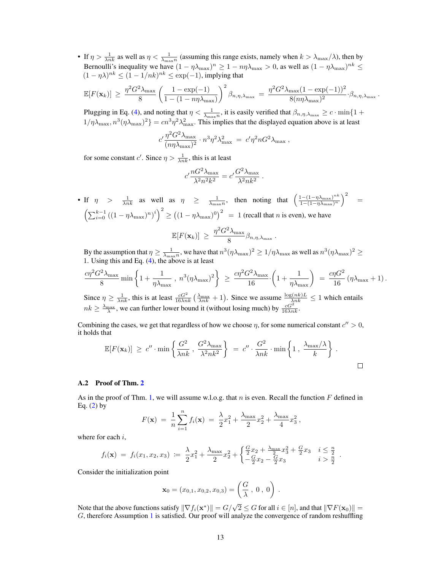• If  $\eta > \frac{1}{\lambda nk}$  as well as  $\eta < \frac{1}{\lambda max}$  (assuming this range exists, namely when  $k > \lambda max/\lambda$ ), then by Bernoulli's inequality we have  $(1 - \eta \lambda_{\max})^n \ge 1 - n\eta \lambda_{\max} > 0$ , as well as  $(1 - \eta \lambda_{\max})^{nk} \le$  $(1 - \eta \lambda)^{nk} \le (1 - 1/nk)^{nk} \le \exp(-1)$ , implying that

$$
\mathbb{E}[F(\mathbf{x}_k)] \geq \frac{\eta^2 G^2 \lambda_{\max}}{8} \left( \frac{1 - \exp(-1)}{1 - (1 - n\eta\lambda_{\max})} \right)^2 \beta_{n,\eta,\lambda_{\max}} = \frac{\eta^2 G^2 \lambda_{\max} (1 - \exp(-1))^2}{8(n\eta\lambda_{\max})^2} \cdot \beta_{n,\eta,\lambda_{\max}}.
$$

Plugging in Eq. (4), and noting that  $\eta < \frac{1}{\lambda_{\max}}$ , it is easily verified that  $\beta_{n,\eta,\lambda_{\max}} \ge c \cdot \min\{1+\eta_{\max}\}$  $1/\eta\lambda_{\max}, n^3(\eta\lambda_{\max})^2$  =  $cn^3\eta^2\lambda_{\max}^2$ . This implies that the displayed equation above is at least

$$
c' \frac{\eta^2 G^2 \lambda_{\text{max}}}{(n\eta \lambda_{\text{max}})^2} \cdot n^3 \eta^2 \lambda_{\text{max}}^2 = c' \eta^2 n G^2 \lambda_{\text{max}} ,
$$

for some constant c'. Since  $\eta > \frac{1}{\lambda nk}$ , this is at least

$$
c'\frac{nG^2\lambda_{\max}}{\lambda^2n^2k^2}=c'\frac{G^2\lambda_{\max}}{\lambda^2nk^2}
$$

.

• If  $\eta$  >  $\frac{1}{\lambda nk}$  as well as  $\eta$   $\geq \frac{1}{\lambda_{\max}n}$ , then noting that  $\left(\frac{1-(1-\eta\lambda_{\max})^{nk}}{1-(1-\eta\lambda_{\max})^n}\right)$  $\frac{1-(1-\eta\lambda_{\max})^{nk}}{1-(1-\eta\lambda_{\max})^n}\bigg)^2 =$  $\left(\sum_{i=0}^{k-1} ((1 - \eta \lambda_{\max})^n)^i\right)^2 \ge ((1 - \eta \lambda_{\max})^0)^2 = 1$  (recall that n is even), we have  $\mathbb{E}[F(\mathbf{x}_k)] \geq \frac{\eta^2 G^2 \lambda_{\max}}{8}$  $\frac{\beta_{\text{max}}}{8}$   $\beta_{n,\eta,\lambda_{\text{max}}}$ .

By the assumption that  $\eta \ge \frac{1}{\lambda_{\max}n}$ , we have that  $n^3(\eta\lambda_{\max})^2 \ge 1/\eta\lambda_{\max}$  as well as  $n^3(\eta\lambda_{\max})^2 \ge$ 1. Using this and Eq. (4), the above is at least

$$
\frac{c\eta^2 G^2 \lambda_{\max}}{8} \min\left\{1 + \frac{1}{\eta \lambda_{\max}} \, , \, n^3 (\eta \lambda_{\max})^2\right\} \; \geq \; \frac{c\eta^2 G^2 \lambda_{\max}}{16} \cdot \left(1 + \frac{1}{\eta \lambda_{\max}}\right) \; = \; \frac{c\eta G^2}{16} \left(\eta \lambda_{\max} + 1\right).
$$

Since  $\eta \ge \frac{1}{\lambda nk}$ , this is at least  $\frac{cG^2}{16\lambda nk}(\frac{\lambda_{\text{max}}}{\lambda nk}+1)$ . Since we assume  $\frac{\log(nk)L}{\lambda nk} \le 1$  which entails  $nk \geq \frac{\lambda_{\text{max}}}{\lambda}$ , we can further lower bound it (without losing much) by  $\frac{cG^2}{16\lambda nk}$ .

Combining the cases, we get that regardless of how we choose  $\eta$ , for some numerical constant  $c'' > 0$ , it holds that

$$
\mathbb{E}[F(\mathbf{x}_k)] \geq c'' \cdot \min\left\{\frac{G^2}{\lambda nk}, \frac{G^2 \lambda_{\max}}{\lambda^2 nk^2}\right\} = c'' \cdot \frac{G^2}{\lambda nk} \cdot \min\left\{1, \frac{\lambda_{\max}/\lambda}{k}\right\}.
$$

### A.2 Proof of Thm. 2

As in the proof of Thm. 1, we will assume w.l.o.g. that n is even. Recall the function F defined in Eq.  $(2)$  by

$$
F(\mathbf{x}) = \frac{1}{n} \sum_{i=1}^{n} f_i(\mathbf{x}) = \frac{\lambda}{2} x_1^2 + \frac{\lambda_{\max}}{2} x_2^2 + \frac{\lambda_{\max}}{4} x_3^2,
$$

where for each i,

$$
f_i(\mathbf{x}) = f_i(x_1, x_2, x_3) \coloneqq \frac{\lambda}{2} x_1^2 + \frac{\lambda_{\max}}{2} x_2^2 + \begin{cases} \frac{G}{2} x_2 + \frac{\lambda_{\max}}{2} x_3^2 + \frac{G}{2} x_3 & i \leq \frac{n}{2} \\ -\frac{G}{2} x_2 - \frac{G}{2} x_3 & i > \frac{n}{2} \end{cases}.
$$

Consider the initialization point

$$
\mathbf{x}_0 = (x_{0,1}, x_{0,2}, x_{0,3}) = \left(\frac{G}{\lambda}, 0, 0\right).
$$

Note that the above functions satisfy  $\|\nabla f_i(\mathbf{x}^*)\| = G/\sqrt{2} \le G$  for all  $i \in [n]$ , and that  $\|\nabla F(\mathbf{x}_0)\| =$ G, therefore Assumption 1 is satisfied. Our proof will analyze the convergence of random reshuffling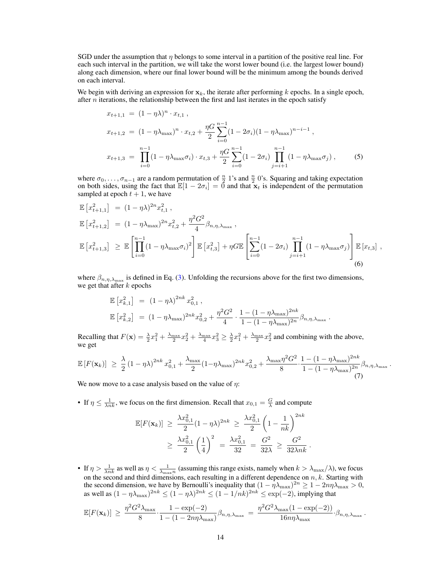SGD under the assumption that  $\eta$  belongs to some interval in a partition of the positive real line. For each such interval in the partition, we will take the worst lower bound (i.e. the largest lower bound) along each dimension, where our final lower bound will be the minimum among the bounds derived on each interval.

We begin with deriving an expression for  $x_k$ , the iterate after performing k epochs. In a single epoch, after  $n$  iterations, the relationship between the first and last iterates in the epoch satisfy

$$
x_{t+1,1} = (1 - \eta \lambda)^n \cdot x_{t,1},
$$
  
\n
$$
x_{t+1,2} = (1 - \eta \lambda_{\max})^n \cdot x_{t,2} + \frac{\eta G}{2} \sum_{i=0}^{n-1} (1 - 2\sigma_i)(1 - \eta \lambda_{\max})^{n-i-1},
$$
  
\n
$$
x_{t+1,3} = \prod_{i=0}^{n-1} (1 - \eta \lambda_{\max} \sigma_i) \cdot x_{t,3} + \frac{\eta G}{2} \sum_{i=0}^{n-1} (1 - 2\sigma_i) \prod_{j=i+1}^{n-1} (1 - \eta \lambda_{\max} \sigma_j),
$$
 (5)

where  $\sigma_0, \ldots, \sigma_{n-1}$  are a random permutation of  $\frac{n}{2}$  1's and  $\frac{n}{2}$  0's. Squaring and taking expectation on both sides, using the fact that  $\mathbb{E}[1 - 2\sigma_i] = 0$  and that  $\mathbf{x}_t$  is independent of the permutation sampled at epoch  $t + 1$ , we have

$$
\mathbb{E}\left[x_{t+1,1}^{2}\right] = (1 - \eta\lambda)^{2n} x_{t,1}^{2},
$$
\n
$$
\mathbb{E}\left[x_{t+1,2}^{2}\right] = (1 - \eta\lambda_{\max})^{2n} x_{t,2}^{2} + \frac{\eta^{2} G^{2}}{4} \beta_{n,\eta,\lambda_{\max}},
$$
\n
$$
\mathbb{E}\left[x_{t+1,3}^{2}\right] \geq \mathbb{E}\left[\prod_{i=0}^{n-1} (1 - \eta\lambda_{\max}\sigma_{i})^{2}\right] \mathbb{E}\left[x_{t,3}^{2}\right] + \eta G \mathbb{E}\left[\sum_{i=0}^{n-1} (1 - 2\sigma_{i}) \prod_{j=i+1}^{n-1} (1 - \eta\lambda_{\max}\sigma_{j})\right] \mathbb{E}\left[x_{t,3}\right],
$$
\n(6)

where  $\beta_{n,\eta,\lambda_{\max}}$  is defined in Eq. (3). Unfolding the recursions above for the first two dimensions, we get that after  $k$  epochs

$$
\mathbb{E}\left[x_{k,1}^2\right] = (1 - \eta\lambda)^{2nk} x_{0,1}^2,
$$
\n
$$
\mathbb{E}\left[x_{k,2}^2\right] = (1 - \eta\lambda_{\max})^{2nk} x_{0,2}^2 + \frac{\eta^2 G^2}{4} \cdot \frac{1 - (1 - \eta\lambda_{\max})^{2nk}}{1 - (1 - \eta\lambda_{\max})^{2n}} \beta_{n,\eta,\lambda_{\max}}
$$

Recalling that  $F(\mathbf{x}) = \frac{\lambda}{2}x_1^2 + \frac{\lambda_{\text{max}}}{2}x_2^2 + \frac{\lambda_{\text{max}}}{4}x_3^2 \ge \frac{\lambda}{2}x_1^2 + \frac{\lambda_{\text{max}}}{2}x_2^2$  and combining with the above, we get

$$
\mathbb{E}\left[F(\mathbf{x}_k)\right] \geq \frac{\lambda}{2} (1 - \eta \lambda)^{2nk} x_{0,1}^2 + \frac{\lambda_{\max}}{2} (1 - \eta \lambda_{\max})^{2nk} x_{0,2}^2 + \frac{\lambda_{\max} \eta^2 G^2}{8} \cdot \frac{1 - (1 - \eta \lambda_{\max})^{2nk}}{1 - (1 - \eta \lambda_{\max})^{2n}} \beta_{n,\eta,\lambda_{\max}}.
$$
\n(7)

.

We now move to a case analysis based on the value of  $\eta$ :

• If  $\eta \leq \frac{1}{\lambda nk}$ , we focus on the first dimension. Recall that  $x_{0,1} = \frac{G}{\lambda}$  and compute

$$
\mathbb{E}[F(\mathbf{x}_k)] \ge \frac{\lambda x_{0,1}^2}{2} (1 - \eta \lambda)^{2nk} \ge \frac{\lambda x_{0,1}^2}{2} \left(1 - \frac{1}{nk}\right)^{2nk} \ge \frac{\lambda x_{0,1}^2}{2} \left(\frac{1}{4}\right)^2 = \frac{\lambda x_{0,1}^2}{32} = \frac{G^2}{32\lambda} \ge \frac{G^2}{32\lambda nk}.
$$

• If  $\eta > \frac{1}{\lambda nk}$  as well as  $\eta < \frac{1}{\lambda_{\max}n}$  (assuming this range exists, namely when  $k > \lambda_{\max}/\lambda$ ), we focus on the second and third dimensions, each resulting in a different dependence on  $n, k$ . Starting with the second dimension, we have by Bernoulli's inequality that  $(1 - \eta \lambda_{\max})^{2n} \ge 1 - 2n\eta\lambda_{\max} > 0$ , as well as  $(1 - \eta \lambda_{\max})^{2nk} \le (1 - \eta \lambda)^{2nk} \le (1 - 1/nk)^{2nk} \le \exp(-2)$ , implying that

$$
\mathbb{E}[F(\mathbf{x}_k)] \geq \frac{\eta^2 G^2 \lambda_{\max}}{8} \cdot \frac{1 - \exp(-2)}{1 - (1 - 2n\eta\lambda_{\max})} \beta_{n,\eta,\lambda_{\max}} = \frac{\eta^2 G^2 \lambda_{\max} (1 - \exp(-2))}{16n\eta\lambda_{\max}} \cdot \beta_{n,\eta,\lambda_{\max}}.
$$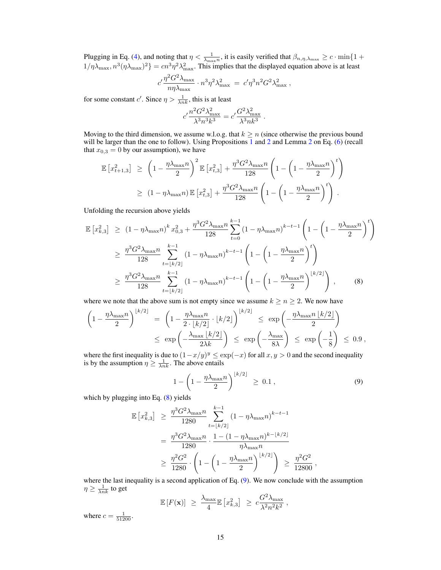Plugging in Eq. (4), and noting that  $\eta < \frac{1}{\lambda_{\max}}$ , it is easily verified that  $\beta_{n,\eta,\lambda_{\max}} \ge c \cdot \min\{1+\eta_{\max}\}$  $1/\eta\lambda_{\max}, n^3(\eta\lambda_{\max})^2$  =  $cn^3\eta^2\lambda_{\max}^2$ . This implies that the displayed equation above is at least

$$
c' \frac{\eta^2 G^2 \lambda_{\text{max}}}{n \eta \lambda_{\text{max}}} \cdot n^3 \eta^2 \lambda_{\text{max}}^2 = c' \eta^3 n^2 G^2 \lambda_{\text{max}}^2 \,,
$$

for some constant c'. Since  $\eta > \frac{1}{\lambda nk}$ , this is at least

$$
c' \frac{n^2 G^2 \lambda_{\text{max}}^2}{\lambda^3 n^3 k^3} = c' \frac{G^2 \lambda_{\text{max}}^2}{\lambda^3 n k^3}
$$

.

Moving to the third dimension, we assume w.l.o.g. that  $k \geq n$  (since otherwise the previous bound will be larger than the one to follow). Using Propositions 1 and 2 and Lemma 2 on Eq. (6) (recall that  $x_{0,3} = 0$  by our assumption), we have

$$
\mathbb{E}\left[x_{t+1,3}^2\right] \geq \left(1 - \frac{\eta\lambda_{\max}n}{2}\right)^2 \mathbb{E}\left[x_{t,3}^2\right] + \frac{\eta^3 G^2 \lambda_{\max}n}{128} \left(1 - \left(1 - \frac{\eta\lambda_{\max}n}{2}\right)^t\right)
$$
  

$$
\geq (1 - \eta\lambda_{\max}n) \mathbb{E}\left[x_{t,3}^2\right] + \frac{\eta^3 G^2 \lambda_{\max}n}{128} \left(1 - \left(1 - \frac{\eta\lambda_{\max}n}{2}\right)^t\right).
$$

Unfolding the recursion above yields

$$
\mathbb{E}\left[x_{k,3}^2\right] \geq (1 - \eta\lambda_{\max}n)^k x_{0,3}^2 + \frac{\eta^3 G^2 \lambda_{\max} n}{128} \sum_{t=0}^{k-1} (1 - \eta\lambda_{\max}n)^{k-t-1} \left(1 - \left(1 - \frac{\eta\lambda_{\max} n}{2}\right)^t\right)
$$
\n
$$
\geq \frac{\eta^3 G^2 \lambda_{\max} n}{128} \sum_{t=\lfloor k/2 \rfloor}^{k-1} (1 - \eta\lambda_{\max}n)^{k-t-1} \left(1 - \left(1 - \frac{\eta\lambda_{\max} n}{2}\right)^t\right)
$$
\n
$$
\geq \frac{\eta^3 G^2 \lambda_{\max} n}{128} \sum_{t=\lfloor k/2 \rfloor}^{k-1} (1 - \eta\lambda_{\max}n)^{k-t-1} \left(1 - \left(1 - \frac{\eta\lambda_{\max} n}{2}\right)^{\lfloor k/2 \rfloor}\right),\tag{8}
$$

where we note that the above sum is not empty since we assume  $k \ge n \ge 2$ . We now have

$$
\left(1 - \frac{\eta \lambda_{\max} n}{2}\right)^{\lfloor k/2 \rfloor} = \left(1 - \frac{\eta \lambda_{\max} n}{2 \cdot \lfloor k/2 \rfloor} \cdot \lfloor k/2 \rfloor\right)^{\lfloor k/2 \rfloor} \le \exp\left(-\frac{\eta \lambda_{\max} n \lfloor k/2 \rfloor}{2}\right)
$$
  

$$
\le \exp\left(-\frac{\lambda_{\max} \lfloor k/2 \rfloor}{2\lambda k}\right) \le \exp\left(-\frac{\lambda_{\max}}{8\lambda}\right) \le \exp\left(-\frac{1}{8}\right) \le 0.9,
$$

where the first inequality is due to  $(1-x/y)^y \leq \exp(-x)$  for all  $x, y > 0$  and the second inequality is by the assumption  $\eta \geq \frac{1}{\lambda nk}$ . The above entails

$$
1 - \left(1 - \frac{\eta \lambda_{\max} n}{2}\right)^{\lfloor k/2 \rfloor} \ge 0.1 , \tag{9}
$$

,

which by plugging into Eq.  $(8)$  yields

$$
\mathbb{E}\left[x_{k,3}^2\right] \geq \frac{\eta^3 G^2 \lambda_{\max} n}{1280} \sum_{t=\lfloor k/2 \rfloor}^{k-1} (1 - \eta \lambda_{\max} n)^{k-t-1}
$$

$$
= \frac{\eta^3 G^2 \lambda_{\max} n}{1280} \cdot \frac{1 - (1 - \eta \lambda_{\max} n)^{k-\lfloor k/2 \rfloor}}{\eta \lambda_{\max} n}
$$

$$
\geq \frac{\eta^2 G^2}{1280} \cdot \left(1 - \left(1 - \frac{\eta \lambda_{\max} n}{2}\right)^{\lfloor k/2 \rfloor}\right) \geq \frac{\eta^2 G^2}{12800}
$$

where the last inequality is a second application of Eq. (9). We now conclude with the assumption  $\eta \geq \frac{1}{\lambda nk}$  to get

$$
\mathbb{E}\left[F(\mathbf{x})\right] \ \geq \ \frac{\lambda_{\max}}{4} \mathbb{E}\left[x_{k,3}^2\right] \ \geq \ c \frac{G^2 \lambda_{\max}}{\lambda^2 n^2 k^2} \ ,
$$

where  $c = \frac{1}{51200}$ .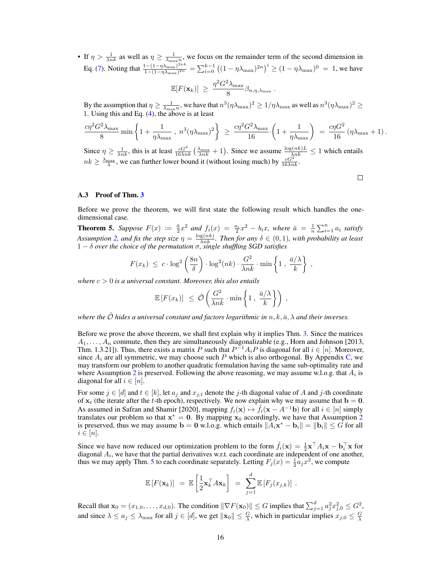• If  $\eta > \frac{1}{\lambda nk}$  as well as  $\eta \ge \frac{1}{\lambda_{\max}n}$ , we focus on the remainder term of the second dimension in Eq. (7). Noting that  $\frac{1-(1-\eta\lambda_{\max})^{2nk}}{1-(1-n\lambda_{\max})^{2n}}$  $\frac{(1-(1-\eta\lambda_{\max})^{2nk}}{1-(1-\eta\lambda_{\max})^{2n}} = \sum_{i=0}^{k-1} ((1-\eta\lambda_{\max})^{2n})^i \ge (1-\eta\lambda_{\max})^0 = 1$ , we have

$$
\mathbb{E}[F(\mathbf{x}_k)] \, \geq \, \frac{\eta^2 G^2 \lambda_{\max}}{8} \beta_{n,\eta,\lambda_{\max}} \, .
$$

By the assumption that  $\eta \ge \frac{1}{\lambda_{\max}n}$ , we have that  $n^3(\eta\lambda_{\max})^2 \ge 1/\eta\lambda_{\max}$  as well as  $n^3(\eta\lambda_{\max})^2 \ge$ 1. Using this and Eq.  $(4)$ , the above is at least

$$
\frac{c\eta^2 G^2 \lambda_{\max}}{8} \min\left\{1 + \frac{1}{\eta \lambda_{\max}} \, , \, n^3 (\eta \lambda_{\max})^2\right\} \; \geq \; \frac{c\eta^2 G^2 \lambda_{\max}}{16} \cdot \left(1 + \frac{1}{\eta \lambda_{\max}}\right) \; = \; \frac{c\eta G^2}{16} \left(\eta \lambda_{\max} + 1\right).
$$

Since  $\eta \ge \frac{1}{\lambda nk}$ , this is at least  $\frac{cG^2}{16\lambda nk}(\frac{\lambda_{\text{max}}}{\lambda nk}+1)$ . Since we assume  $\frac{\log(nk)L}{\lambda nk} \le 1$  which entails  $nk \geq \frac{\lambda_{\text{max}}}{\lambda}$ , we can further lower bound it (without losing much) by  $\frac{cG^2}{16\lambda nk}$ .

 $\Box$ 

#### A.3 Proof of Thm. 3

Before we prove the theorem, we will first state the following result which handles the onedimensional case.

**Theorem 5.** Suppose  $F(x) := \frac{\bar{a}}{2}x^2$  and  $f_i(x) = \frac{a_i}{2}x^2 - b_i x$ , where  $\bar{a} = \frac{1}{n}\sum_{i=1}^n a_i$  satisfy Assumption 2, and fix the step size  $\eta = \frac{\log(nk)}{\lambda nk}$ . Then for any  $\delta \in (0,1)$ , with probability at least 1 − δ *over the choice of the permutation* σ*, single shuffling SGD satisfies*

$$
F(x_k) \ \leq \ c \cdot \log^2\left(\frac{8n}{\delta}\right) \cdot \log^2(nk) \cdot \frac{G^2}{\lambda nk} \cdot \min\left\{1 \, , \, \frac{\bar{a}/\lambda}{k} \right\} \ ,
$$

*where* c > 0 *is a universal constant. Moreover, this also entails*

$$
\mathbb{E}\left[F(x_k)\right] \leq \tilde{\mathcal{O}}\left(\frac{G^2}{\lambda nk} \cdot \min\left\{1, \frac{\bar{a}/\lambda}{k}\right\}\right),\,
$$

*where the*  $\tilde{\mathcal{O}}$  *hides a universal constant and factors logarithmic in*  $n, k, \bar{a}, \lambda$  *and their inverses.* 

Before we prove the above theorem, we shall first explain why it implies Thm. 3. Since the matrices  $A_1, \ldots, A_n$  commute, then they are simultaneously diagonalizable (e.g., Horn and Johnson [2013, Thm. 1.3.21]). Thus, there exists a matrix P such that  $P^{-1}A_iP$  is diagonal for all  $i \in [n]$ . Moreover, since  $A_i$  are all symmetric, we may choose such P which is also orthogonal. By Appendix C, we may transform our problem to another quadratic formulation having the same sub-optimality rate and where Assumption 2 is preserved. Following the above reasoning, we may assume w.l.o.g. that  $A_i$  is diagonal for all  $i \in [n]$ .

For some  $j \in [d]$  and  $t \in [k]$ , let  $a_j$  and  $x_{j,t}$  denote the j-th diagonal value of A and j-th coordinate of  $x_t$  (the iterate after the t-th epoch), respectively. We now explain why we may assume that  $b = 0$ . As assumed in Safran and Shamir [2020], mapping  $f_i(\mathbf{x}) \mapsto \tilde{f}_i(\mathbf{x} - A^{-1}\mathbf{b})$  for all  $i \in [n]$  simply translates our problem so that  $x^* = 0$ . By mapping  $x_0$  accordingly, we have that Assumption 2 is preserved, thus we may assume  $\mathbf{b} = \mathbf{0}$  w.l.o.g. which entails  $||A_i \mathbf{x}^* - \mathbf{b}_i|| = ||\mathbf{b}_i|| \leq G$  for all  $i \in [n]$ .

Since we have now reduced our optimization problem to the form  $\tilde{f}_i(\mathbf{x}) = \frac{1}{2}\mathbf{x}^\top A_i \mathbf{x} - \mathbf{b}_i^\top \mathbf{x}$  for diagonal  $A_i$ , we have that the partial derivatives w.r.t. each coordinate are independent of one another, thus we may apply Thm. 5 to each coordinate separately. Letting  $F_j(x) = \frac{1}{2} a_j x^2$ , we compute

$$
\mathbb{E}\left[F(\mathbf{x}_k)\right] = \mathbb{E}\left[\frac{1}{2}\mathbf{x}_k^\top A\mathbf{x}_k\right] = \sum_{j=1}^d \mathbb{E}\left[F_j(x_{j,k})\right].
$$

Recall that  $\mathbf{x}_0 = (x_{1,0}, \dots, x_{d,0})$ . The condition  $\|\nabla F(\mathbf{x}_0)\| \le G$  implies that  $\sum_{j=1}^d a_j^2 x_{j,0}^2 \le G^2$ , and since  $\lambda \le a_j \le \lambda_{\max}$  for all  $j \in [d]$ , we get  $\|\mathbf{x}_0\| \le \frac{G}{\lambda}$ , which in particular implies  $x_{j,0} \le \frac{G}{\lambda}$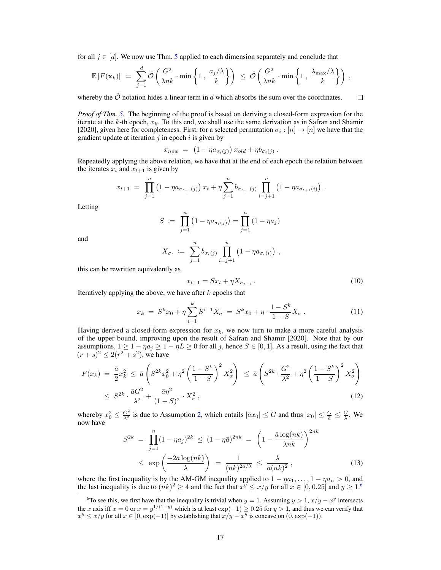for all  $j \in [d]$ . We now use Thm. 5 applied to each dimension separately and conclude that

$$
\mathbb{E}\left[F(\mathbf{x}_k)\right] = \sum_{j=1}^d \tilde{\mathcal{O}}\left(\frac{G^2}{\lambda nk} \cdot \min\left\{1, \frac{a_j/\lambda}{k}\right\}\right) \leq \tilde{\mathcal{O}}\left(\frac{G^2}{\lambda nk} \cdot \min\left\{1, \frac{\lambda_{\max}/\lambda}{k}\right\}\right),
$$

whereby the  $\tilde{\mathcal{O}}$  notation hides a linear term in d which absorbs the sum over the coordinates.

*Proof of Thm. 5.* The beginning of the proof is based on deriving a closed-form expression for the iterate at the  $k$ -th epoch,  $x_k$ . To this end, we shall use the same derivation as in Safran and Shamir [2020], given here for completeness. First, for a selected permutation  $\sigma_i : [n] \to [n]$  we have that the gradient update at iteration  $j$  in epoch  $i$  is given by

$$
x_{new} = (1 - \eta a_{\sigma_i(j)}) x_{old} + \eta b_{\sigma_i(j)}.
$$

Repeatedly applying the above relation, we have that at the end of each epoch the relation between the iterates  $x_t$  and  $x_{t+1}$  is given by

$$
x_{t+1} = \prod_{j=1}^n (1 - \eta a_{\sigma_{t+1}(j)}) x_t + \eta \sum_{j=1}^n b_{\sigma_{t+1}(j)} \prod_{i=j+1}^n (1 - \eta a_{\sigma_{t+1}(i)}) .
$$

Letting

$$
S := \prod_{j=1}^{n} (1 - \eta a_{\sigma_i(j)}) = \prod_{j=1}^{n} (1 - \eta a_j)
$$

and

$$
X_{\sigma_t} := \sum_{j=1}^n b_{\sigma_t(j)} \prod_{i=j+1}^n (1 - \eta a_{\sigma_t(i)}) ,
$$

this can be rewritten equivalently as

$$
x_{t+1} = Sx_t + \eta X_{\sigma_{t+1}} \,. \tag{10}
$$

Iteratively applying the above, we have after  $k$  epochs that

$$
x_k = S^k x_0 + \eta \sum_{i=1}^k S^{i-1} X_\sigma = S^k x_0 + \eta \cdot \frac{1 - S^k}{1 - S} X_\sigma. \tag{11}
$$

Having derived a closed-form expression for  $x_k$ , we now turn to make a more careful analysis of the upper bound, improving upon the result of Safran and Shamir [2020]. Note that by our assumptions,  $1 \ge 1 - \eta a_j \ge 1 - \eta L \ge 0$  for all j, hence  $S \in [0,1]$ . As a result, using the fact that  $(r + s)^2 \leq 2(r^2 + s^2)$ , we have

$$
F(x_k) = \frac{\bar{a}}{2} x_k^2 \le \bar{a} \left( S^{2k} x_0^2 + \eta^2 \left( \frac{1 - S^k}{1 - S} \right)^2 X_\sigma^2 \right) \le \bar{a} \left( S^{2k} \cdot \frac{G^2}{\lambda^2} + \eta^2 \left( \frac{1 - S^k}{1 - S} \right)^2 X_\sigma^2 \right) \le S^{2k} \cdot \frac{\bar{a} G^2}{\lambda^2} + \frac{\bar{a} \eta^2}{(1 - S)^2} \cdot X_\sigma^2,
$$
\n(12)

whereby  $x_0^2 \le \frac{G^2}{\lambda^2}$  is due to Assumption 2, which entails  $|\bar{a}x_0| \le G$  and thus  $|x_0| \le \frac{G}{\bar{a}} \le \frac{G}{\lambda}$ . We now have

$$
S^{2k} = \prod_{j=1}^{n} (1 - \eta a_j)^{2k} \le (1 - \eta \bar{a})^{2nk} = \left(1 - \frac{\bar{a}\log(nk)}{\lambda nk}\right)^{2nk}
$$

$$
\le \exp\left(\frac{-2\bar{a}\log(nk)}{\lambda}\right) = \frac{1}{(nk)^{2\bar{a}/\lambda}} \le \frac{\lambda}{\bar{a}(nk)^2},\tag{13}
$$

where the first inequality is by the AM-GM inequality applied to  $1 - \eta a_1, \ldots, 1 - \eta a_n > 0$ , and the last inequality is due to  $(nk)^2 \ge 4$  and the fact that  $x^y \le x/y$  for all  $x \in [0, 0.25]$  and  $y \ge 1.6$ 

 $\Box$ 

<sup>&</sup>lt;sup>6</sup>To see this, we first have that the inequality is trivial when  $y = 1$ . Assuming  $y > 1$ ,  $x/y - x^y$  intersects the x axis iff  $x = 0$  or  $x = y^{1/(1-y)}$  which is at least  $\exp(-1) \ge 0.25$  for  $y > 1$ , and thus we can verify that  $x^y \le x/y$  for all  $x \in [0, \exp(-1)]$  by establishing that  $x/y - x^y$  is concave on  $(0, \exp(-1))$ .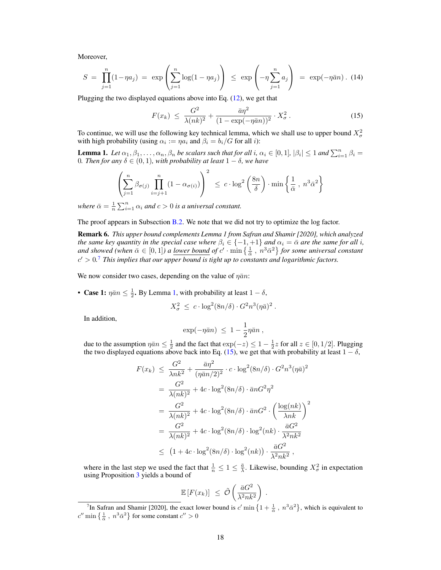Moreover,

$$
S = \prod_{j=1}^{n} (1 - \eta a_j) = \exp\left(\sum_{j=1}^{n} \log(1 - \eta a_j)\right) \le \exp\left(-\eta \sum_{j=1}^{n} a_j\right) = \exp(-\eta \bar{a}n). (14)
$$

Plugging the two displayed equations above into Eq. (12), we get that

$$
F(x_k) \leq \frac{G^2}{\lambda(nk)^2} + \frac{\bar{a}\eta^2}{(1 - \exp(-\eta\bar{a}n))^2} \cdot X_\sigma^2.
$$
 (15)

To continue, we will use the following key technical lemma, which we shall use to upper bound  $X^2_{\sigma}$ with high probability (using  $\alpha_i := \eta a_i$  and  $\beta_i = b_i/G$  for all *i*):

**Lemma 1.** Let  $\alpha_1, \beta_1, \ldots, \alpha_n, \beta_n$  be scalars such that for all i,  $\alpha_i \in [0,1]$ ,  $|\beta_i| \leq 1$  and  $\sum_{i=1}^n \beta_i =$ 0*. Then for any* δ ∈ (0, 1)*, with probability at least* 1 − δ*, we have*

$$
\left(\sum_{j=1}^n \beta_{\sigma(j)} \prod_{i=j+1}^n (1 - \alpha_{\sigma(i)})\right)^2 \le c \cdot \log^2\left(\frac{8n}{\delta}\right) \cdot \min\left\{\frac{1}{\bar{\alpha}}, n^3 \bar{\alpha}^2\right\}
$$

*where*  $\bar{\alpha} = \frac{1}{n} \sum_{i=1}^{n} \alpha_i$  *and*  $c > 0$  *is a universal constant.* 

The proof appears in Subsection B.2. We note that we did not try to optimize the log factor.

Remark 6. *This upper bound complements Lemma 1 from Safran and Shamir [2020], which analyzed the same key quantity in the special case where*  $\beta_i \in \{-1, +1\}$  *and*  $\alpha_i = \bar{\alpha}$  *are the same for all i*, *and showed (when*  $\bar{\alpha} \in [0,1]$ ) a <u>*lower bound of*</u>  $c' \cdot \min\left\{\frac{1}{\bar{\alpha}}, n^3 \bar{\alpha}^2\right\}$  for some universal constant  $c' > 0$ <sup>7</sup> *This implies that our upper bound is tight up to constants and logarithmic factors.* 

We now consider two cases, depending on the value of  $\eta \bar{a} n$ :

• Case 1:  $\eta \bar{a} n \leq \frac{1}{2}$ . By Lemma 1, with probability at least  $1 - \delta$ ,

$$
X_{\sigma}^2 \leq c \cdot \log^2(8n/\delta) \cdot G^2 n^3 (\eta \bar{a})^2.
$$

In addition,

$$
\exp(-\eta \bar{a}n) \ \leq \ 1 - \frac{1}{2}\eta \bar{a}n \ ,
$$

due to the assumption  $\eta \bar{a} n \leq \frac{1}{2}$  and the fact that  $\exp(-z) \leq 1 - \frac{1}{2}z$  for all  $z \in [0, 1/2]$ . Plugging the two displayed equations above back into Eq. (15), we get that with probability at least  $1 - \delta$ ,

$$
F(x_k) \leq \frac{G^2}{\lambda nk^2} + \frac{\bar{a}\eta^2}{(\eta \bar{a}n/2)^2} \cdot c \cdot \log^2(8n/\delta) \cdot G^2 n^3 (\eta \bar{a})^2
$$
  
\n
$$
= \frac{G^2}{\lambda(nk)^2} + 4c \cdot \log^2(8n/\delta) \cdot \bar{a}nG^2 \eta^2
$$
  
\n
$$
= \frac{G^2}{\lambda(nk)^2} + 4c \cdot \log^2(8n/\delta) \cdot \bar{a}nG^2 \cdot \left(\frac{\log(nk)}{\lambda nk}\right)^2
$$
  
\n
$$
= \frac{G^2}{\lambda(nk)^2} + 4c \cdot \log^2(8n/\delta) \cdot \log^2(nk) \cdot \frac{\bar{a}G^2}{\lambda^2nk^2}
$$
  
\n
$$
\leq (1 + 4c \cdot \log^2(8n/\delta) \cdot \log^2(nk)) \cdot \frac{\bar{a}G^2}{\lambda^2nk^2},
$$

where in the last step we used the fact that  $\frac{1}{n} \leq 1 \leq \frac{\overline{a}}{\lambda}$ . Likewise, bounding  $X^2_{\sigma}$  in expectation using Proposition 3 yields a bound of

$$
\mathbb{E}\left[F(x_k)\right] \leq \tilde{\mathcal{O}}\left(\frac{\bar{a}G^2}{\lambda^2 n k^2}\right).
$$

<sup>&</sup>lt;sup>7</sup>In Safran and Shamir [2020], the exact lower bound is  $c'$  min  $\left\{1+\frac{1}{\tilde{\alpha}}, n^3\tilde{\alpha}^2\right\}$ , which is equivalent to  $c''$  min  $\left\{\frac{1}{\overline{\alpha}}\right\}$ ,  $n^3\overline{\alpha}^2$  for some constant  $c'' > 0$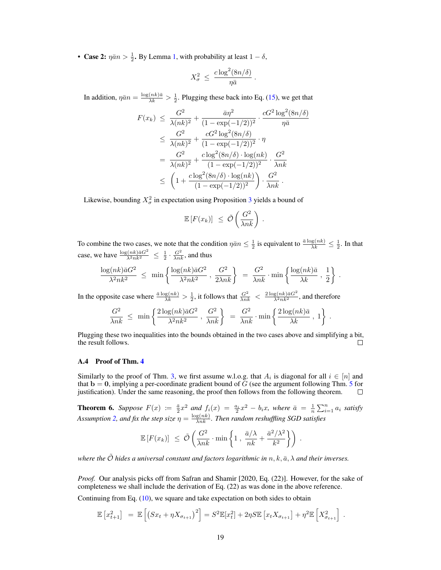• Case 2:  $\eta \bar{a} n > \frac{1}{2}$ . By Lemma 1, with probability at least  $1 - \delta$ ,

$$
X^2_\sigma \: \le \: \frac{c \log^2(8n/\delta)}{\eta \bar{a}}
$$

.

In addition,  $\eta \bar{a}n = \frac{\log(nk)\bar{a}}{\lambda k} > \frac{1}{2}$ . Plugging these back into Eq. (15), we get that

$$
F(x_k) \leq \frac{G^2}{\lambda(nk)^2} + \frac{\bar{a}\eta^2}{(1 - \exp(-1/2))^2} \cdot \frac{cG^2 \log^2(8n/\delta)}{\eta \bar{a}}
$$
  
\n
$$
\leq \frac{G^2}{\lambda(nk)^2} + \frac{cG^2 \log^2(8n/\delta)}{(1 - \exp(-1/2))^2} \cdot \eta
$$
  
\n
$$
= \frac{G^2}{\lambda(nk)^2} + \frac{c\log^2(8n/\delta) \cdot \log(nk)}{(1 - \exp(-1/2))^2} \cdot \frac{G^2}{\lambda nk}
$$
  
\n
$$
\leq \left(1 + \frac{c\log^2(8n/\delta) \cdot \log(nk)}{(1 - \exp(-1/2))^2}\right) \cdot \frac{G^2}{\lambda nk}.
$$

Likewise, bounding  $X^2_\sigma$  in expectation using Proposition 3 yields a bound of

$$
\mathbb{E}\left[F(x_k)\right] \leq \tilde{\mathcal{O}}\left(\frac{G^2}{\lambda nk}\right) .
$$

To combine the two cases, we note that the condition  $\eta \bar{a} n \leq \frac{1}{2}$  is equivalent to  $\frac{\bar{a} \log(nk)}{\lambda k} \leq \frac{1}{2}$ . In that case, we have  $\frac{\log(nk)\bar{a}G^2}{\lambda^2nk^2} \leq \frac{1}{2} \cdot \frac{G^2}{\lambda nk}$ , and thus

$$
\frac{\log(nk)\bar{a}G^2}{\lambda^2nk^2} \;\leq\; \min\left\{\frac{\log(nk)\bar{a}G^2}{\lambda^2nk^2}\;,\; \frac{G^2}{2\lambda nk}\right\} \;=\; \frac{G^2}{\lambda nk}\cdot\min\left\{\frac{\log(nk)\bar{a}}{\lambda k}\;,\; \frac{1}{2}\right\}\;.
$$

In the opposite case where  $\frac{\bar{a}\log(nk)}{\lambda k} > \frac{1}{2}$ , it follows that  $\frac{G^2}{\lambda nk} < \frac{2\log(nk)\bar{a}G^2}{\lambda^2 nk^2}$ , and therefore

$$
\frac{G^2}{\lambda nk} \leq \min \left\{ \frac{2 \log(nk) \bar{a} G^2}{\lambda^2 n k^2}, \frac{G^2}{\lambda nk} \right\} = \frac{G^2}{\lambda nk} \cdot \min \left\{ \frac{2 \log(nk) \bar{a}}{\lambda k}, 1 \right\}.
$$

Plugging these two inequalities into the bounds obtained in the two cases above and simplifying a bit, the result follows. П

## A.4 Proof of Thm. 4

Similarly to the proof of Thm. 3, we first assume w.l.o.g. that  $A_i$  is diagonal for all  $i \in [n]$  and that  $b = 0$ , implying a per-coordinate gradient bound of G (see the argument following Thm. 5 for justification). Under the same reasoning, the proof then follows from the following theorem.  $\Box$ 

**Theorem 6.** Suppose  $F(x) := \frac{\bar{a}}{2}x^2$  and  $f_i(x) = \frac{a_i}{2}x^2 - b_i x$ , where  $\bar{a} = \frac{1}{n}\sum_{i=1}^n a_i$  satisfy Assumption 2, and fix the step size  $\eta = \frac{\log(nk)}{\lambda nk}$ . Then random reshuffling SGD satisfies

$$
\mathbb{E}\left[F(x_k)\right] \leq \tilde{\mathcal{O}}\left(\frac{G^2}{\lambda nk} \cdot \min\left\{1, \frac{\bar{a}/\lambda}{nk} + \frac{\bar{a}^2/\lambda^2}{k^2}\right\}\right).
$$

*where the*  $\tilde{\mathcal{O}}$  *hides a universal constant and factors logarithmic in*  $n, k, \bar{a}, \lambda$  *and their inverses.* 

*Proof.* Our analysis picks off from Safran and Shamir [2020, Eq. (22)]. However, for the sake of completeness we shall include the derivation of Eq. (22) as was done in the above reference. Continuing from Eq. (10), we square and take expectation on both sides to obtain

$$
\mathbb{E}\left[x_{t+1}^2\right] = \mathbb{E}\left[\left(Sx_t + \eta X_{\sigma_{t+1}}\right)^2\right] = S^2 \mathbb{E}[x_t^2] + 2\eta S \mathbb{E}\left[x_t X_{\sigma_{t+1}}\right] + \eta^2 \mathbb{E}\left[X_{\sigma_{t+1}}^2\right].
$$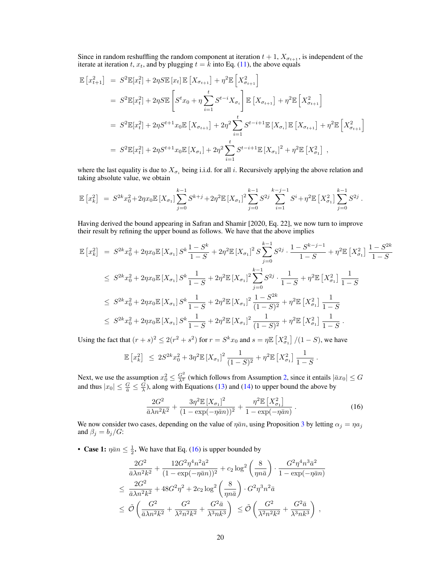Since in random reshuffling the random component at iteration  $t + 1$ ,  $X_{\sigma_{t+1}}$ , is independent of the iterate at iteration t,  $x_t$ , and by plugging  $t = \overline{k}$  into Eq. (11), the above equals

$$
\mathbb{E}\left[x_{t+1}^{2}\right] = S^{2}\mathbb{E}[x_{t}^{2}] + 2\eta S\mathbb{E}\left[x_{t}\right]\mathbb{E}\left[X_{\sigma_{t+1}}\right] + \eta^{2}\mathbb{E}\left[X_{\sigma_{t+1}}^{2}\right]
$$
\n
$$
= S^{2}\mathbb{E}[x_{t}^{2}] + 2\eta S\mathbb{E}\left[S^{t}x_{0} + \eta \sum_{i=1}^{t} S^{t-i}X_{\sigma_{i}}\right]\mathbb{E}\left[X_{\sigma_{t+1}}\right] + \eta^{2}\mathbb{E}\left[X_{\sigma_{t+1}}^{2}\right]
$$
\n
$$
= S^{2}\mathbb{E}[x_{t}^{2}] + 2\eta S^{t+1}x_{0}\mathbb{E}\left[X_{\sigma_{t+1}}\right] + 2\eta^{2}\sum_{i=1}^{t} S^{t-i+1}\mathbb{E}\left[X_{\sigma_{i}}\right]\mathbb{E}\left[X_{\sigma_{t+1}}\right] + \eta^{2}\mathbb{E}\left[X_{\sigma_{t+1}}^{2}\right]
$$
\n
$$
= S^{2}\mathbb{E}[x_{t}^{2}] + 2\eta S^{t+1}x_{0}\mathbb{E}\left[X_{\sigma_{1}}\right] + 2\eta^{2}\sum_{i=1}^{t} S^{t-i+1}\mathbb{E}\left[X_{\sigma_{1}}\right]^{2} + \eta^{2}\mathbb{E}\left[X_{\sigma_{1}}^{2}\right],
$$

where the last equality is due to  $X_{\sigma_i}$  being i.i.d. for all i. Recursively applying the above relation and taking absolute value, we obtain

$$
\mathbb{E}\left[x_k^2\right] = S^{2k}x_0^2 + 2\eta x_0 \mathbb{E}\left[X_{\sigma_1}\right] \sum_{j=0}^{k-1} S^{k+j} + 2\eta^2 \mathbb{E}\left[X_{\sigma_1}\right]^2 \sum_{j=0}^{k-1} S^{2j} \sum_{i=1}^{k-j-1} S^i + \eta^2 \mathbb{E}\left[X_{\sigma_1}^2\right] \sum_{j=0}^{k-1} S^{2j}.
$$

Having derived the bound appearing in Safran and Shamir [2020, Eq. 22], we now turn to improve their result by refining the upper bound as follows. We have that the above implies

$$
\mathbb{E}\left[x_{k}^{2}\right] = S^{2k}x_{0}^{2} + 2\eta x_{0}\mathbb{E}\left[X_{\sigma_{1}}\right]S^{k}\frac{1-S^{k}}{1-S} + 2\eta^{2}\mathbb{E}\left[X_{\sigma_{1}}\right]^{2}S\sum_{j=0}^{k-1}S^{2j}\cdot\frac{1-S^{k-j-1}}{1-S} + \eta^{2}\mathbb{E}\left[X_{\sigma_{1}}^{2}\right]\frac{1-S^{2k}}{1-S}
$$
\n
$$
\leq S^{2k}x_{0}^{2} + 2\eta x_{0}\mathbb{E}\left[X_{\sigma_{1}}\right]S^{k}\frac{1}{1-S} + 2\eta^{2}\mathbb{E}\left[X_{\sigma_{1}}\right]^{2}\sum_{j=0}^{k-1}S^{2j}\cdot\frac{1}{1-S} + \eta^{2}\mathbb{E}\left[X_{\sigma_{1}}^{2}\right]\frac{1}{1-S}
$$
\n
$$
\leq S^{2k}x_{0}^{2} + 2\eta x_{0}\mathbb{E}\left[X_{\sigma_{1}}\right]S^{k}\frac{1}{1-S} + 2\eta^{2}\mathbb{E}\left[X_{\sigma_{1}}\right]^{2}\frac{1-S^{2k}}{(1-S)^{2}} + \eta^{2}\mathbb{E}\left[X_{\sigma_{1}}^{2}\right]\frac{1}{1-S}
$$
\n
$$
\leq S^{2k}x_{0}^{2} + 2\eta x_{0}\mathbb{E}\left[X_{\sigma_{1}}\right]S^{k}\frac{1}{1-S} + 2\eta^{2}\mathbb{E}\left[X_{\sigma_{1}}\right]^{2}\frac{1}{(1-S)^{2}} + \eta^{2}\mathbb{E}\left[X_{\sigma_{1}}^{2}\right]\frac{1}{1-S}.
$$

Using the fact that  $(r + s)^2 \le 2(r^2 + s^2)$  for  $r = S^k x_0$  and  $s = \eta \mathbb{E} \left[ X_{\sigma_1}^2 \right] / (1 - S)$ , we have

$$
\mathbb{E}\left[x_k^2\right] \ \leq \ 2S^{2k}x_0^2 + 3\eta^2\mathbb{E}\left[X_{\sigma_1}\right]^2 \frac{1}{(1-S)^2} + \eta^2\mathbb{E}\left[X_{\sigma_1}^2\right] \frac{1}{1-S}
$$

Next, we use the assumption  $x_0^2 \le \frac{G^2}{\lambda^2}$  (which follows from Assumption 2, since it entails  $|\bar{a}x_0| \le G$ and thus  $|x_0| \le \frac{G}{\overline{a}} \le \frac{G}{\lambda}$ ), along with Equations (13) and (14) to upper bound the above by

$$
\frac{2G^2}{\bar{a}\lambda n^2 k^2} + \frac{3\eta^2 \mathbb{E} \left[X_{\sigma_1}\right]^2}{(1 - \exp(-\eta \bar{a}n))^2} + \frac{\eta^2 \mathbb{E} \left[X_{\sigma_1}^2\right]}{1 - \exp(-\eta \bar{a}n)}\,. \tag{16}
$$

.

We now consider two cases, depending on the value of  $\bar{n}$  and  $\bar{n}$ , using Proposition 3 by letting  $\alpha_j = \eta a_j$ and  $\beta_i = b_i/G$ :

• Case 1:  $\eta \bar{a} n \leq \frac{1}{2}$ . We have that Eq. (16) is upper bounded by

$$
\frac{2G^2}{\bar{a}\lambda n^2 k^2} + \frac{12G^2 \eta^4 n^2 \bar{a}^2}{(1 - \exp(-\eta \bar{a}n))^2} + c_2 \log^2 \left(\frac{8}{\eta n \bar{a}}\right) \cdot \frac{G^2 \eta^4 n^3 \bar{a}^2}{1 - \exp(-\eta \bar{a}n)}
$$
\n
$$
\leq \frac{2G^2}{\bar{a}\lambda n^2 k^2} + 48G^2 \eta^2 + 2c_2 \log^2 \left(\frac{8}{\eta n \bar{a}}\right) \cdot G^2 \eta^3 n^2 \bar{a}
$$
\n
$$
\leq \tilde{\mathcal{O}}\left(\frac{G^2}{\bar{a}\lambda n^2 k^2} + \frac{G^2}{\lambda^2 n^2 k^2} + \frac{G^2 \bar{a}}{\lambda^3 n k^3}\right) \leq \tilde{\mathcal{O}}\left(\frac{G^2}{\lambda^2 n^2 k^2} + \frac{G^2 \bar{a}}{\lambda^3 n k^3}\right),
$$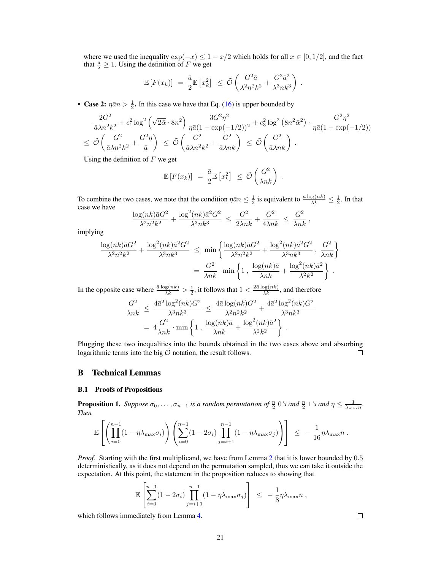where we used the inequality  $\exp(-x) \leq 1 - x/2$  which holds for all  $x \in [0, 1/2]$ , and the fact that  $\frac{\bar{a}}{\lambda} \geq 1$ . Using the definition of F we get

$$
\mathbb{E}\left[F(x_k)\right] = \frac{\bar{a}}{2} \mathbb{E}\left[x_k^2\right] \leq \tilde{\mathcal{O}}\left(\frac{G^2 \bar{a}}{\lambda^2 n^2 k^2} + \frac{G^2 \bar{a}^2}{\lambda^3 n k^3}\right)
$$

.

• Case 2:  $\eta \bar{a} n > \frac{1}{2}$ . In this case we have that Eq. (16) is upper bounded by

$$
\frac{2G^2}{\bar{a}\lambda n^2 k^2} + c_1^2 \log^2\left(\sqrt{2\bar{\alpha}} \cdot 8n^2\right) \frac{3G^2 \eta^2}{\eta \bar{a}(1 - \exp(-1/2))^2} + c_3^2 \log^2\left(8n^2 \bar{\alpha}^2\right) \cdot \frac{G^2 \eta^2}{\eta \bar{a}(1 - \exp(-1/2))}
$$
\n
$$
\leq \tilde{\mathcal{O}}\left(\frac{G^2}{\bar{a}\lambda n^2 k^2} + \frac{G^2 \eta}{\bar{a}}\right) \leq \tilde{\mathcal{O}}\left(\frac{G^2}{\bar{a}\lambda n^2 k^2} + \frac{G^2}{\bar{a}\lambda nk}\right) \leq \tilde{\mathcal{O}}\left(\frac{G^2}{\bar{a}\lambda nk}\right).
$$

Using the definition of  $F$  we get

$$
\mathbb{E}\left[F(x_k)\right] = \frac{\bar{a}}{2} \mathbb{E}\left[x_k^2\right] \leq \tilde{\mathcal{O}}\left(\frac{G^2}{\lambda nk}\right).
$$

To combine the two cases, we note that the condition  $\eta \bar{a} n \leq \frac{1}{2}$  is equivalent to  $\frac{\bar{a} \log(nk)}{\lambda k} \leq \frac{1}{2}$ . In that case we have

$$
\frac{\log(nk)\bar{a}G^2}{\lambda^2n^2k^2} + \frac{\log^2(nk)\bar{a}^2G^2}{\lambda^3nk^3} \ \leq \ \frac{G^2}{2\lambda nk} + \frac{G^2}{4\lambda nk} \ \leq \ \frac{G^2}{\lambda nk} \ ,
$$

implying

$$
\frac{\log(nk)\bar{a}G^2}{\lambda^2 n^2 k^2} + \frac{\log^2(nk)\bar{a}^2 G^2}{\lambda^3 n k^3} \le \min\left\{\frac{\log(nk)\bar{a}G^2}{\lambda^2 n^2 k^2} + \frac{\log^2(nk)\bar{a}^2 G^2}{\lambda^3 n k^3}, \frac{G^2}{\lambda n k}\right\}
$$

$$
= \frac{G^2}{\lambda n k} \cdot \min\left\{1, \frac{\log(nk)\bar{a}}{\lambda n k} + \frac{\log^2(nk)\bar{a}^2}{\lambda^2 k^2}\right\}.
$$

In the opposite case where  $\frac{\bar{a} \log(nk)}{\lambda k} > \frac{1}{2}$ , it follows that  $1 < \frac{2\bar{a} \log(nk)}{\lambda k}$ , and therefore

$$
\frac{G^2}{\lambda nk} \le \frac{4\bar{a}^2 \log^2(nk)G^2}{\lambda^3 nk^3} \le \frac{4\bar{a} \log(nk)G^2}{\lambda^2 n^2 k^2} + \frac{4\bar{a}^2 \log^2(nk)G^2}{\lambda^3 nk^3}
$$

$$
= 4\frac{G^2}{\lambda nk} \cdot \min\left\{1, \frac{\log(nk)\bar{a}}{\lambda nk} + \frac{\log^2(nk)\bar{a}^2}{\lambda^2 k^2}\right\}.
$$

Plugging these two inequalities into the bounds obtained in the two cases above and absorbing logarithmic terms into the big  $\tilde{\mathcal{O}}$  notation, the result follows.  $\Box$ 

## B Technical Lemmas

#### B.1 Proofs of Propositions

**Proposition 1.** Suppose  $\sigma_0, \ldots, \sigma_{n-1}$  is a random permutation of  $\frac{n}{2}$  0's and  $\frac{n}{2}$  1's and  $\eta \leq \frac{1}{\lambda_{\max}n}$ . *Then*

$$
\mathbb{E}\left[\left(\prod_{i=0}^{n-1}(1-\eta\lambda_{\max}\sigma_i)\right)\left(\sum_{i=0}^{n-1}(1-2\sigma_i)\prod_{j=i+1}^{n-1}(1-\eta\lambda_{\max}\sigma_j)\right)\right] \leq -\frac{1}{16}\eta\lambda_{\max}n.
$$

*Proof.* Starting with the first multiplicand, we have from Lemma 2 that it is lower bounded by 0.5 deterministically, as it does not depend on the permutation sampled, thus we can take it outside the expectation. At this point, the statement in the proposition reduces to showing that

$$
\mathbb{E}\left[\sum_{i=0}^{n-1} (1-2\sigma_i) \prod_{j=i+1}^{n-1} (1-\eta\lambda_{\max}\sigma_j)\right] \leq -\frac{1}{8}\eta\lambda_{\max}n,
$$

which follows immediately from Lemma 4.

 $\Box$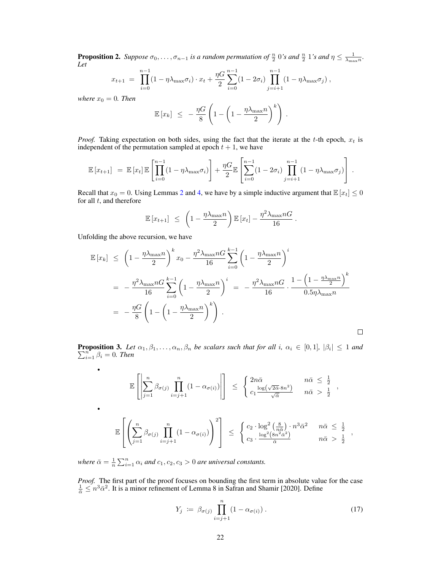**Proposition 2.** Suppose  $\sigma_0, \ldots, \sigma_{n-1}$  is a random permutation of  $\frac{n}{2}$  0's and  $\frac{n}{2}$  1's and  $\eta \leq \frac{1}{\lambda_{\max}n}$ . *Let*

$$
x_{t+1} = \prod_{i=0}^{n-1} (1 - \eta \lambda_{\max} \sigma_i) \cdot x_t + \frac{\eta G}{2} \sum_{i=0}^{n-1} (1 - 2\sigma_i) \prod_{j=i+1}^{n-1} (1 - \eta \lambda_{\max} \sigma_j),
$$

*where*  $x_0 = 0$ *. Then* 

$$
\mathbb{E}\left[x_k\right] \leq -\frac{\eta G}{8}\left(1-\left(1-\frac{\eta\lambda_{\max}n}{2}\right)^k\right).
$$

*Proof.* Taking expectation on both sides, using the fact that the iterate at the t-th epoch,  $x_t$  is independent of the permutation sampled at epoch  $t + 1$ , we have

$$
\mathbb{E}\left[x_{t+1}\right] = \mathbb{E}\left[x_t\right]\mathbb{E}\left[\prod_{i=0}^{n-1}(1-\eta\lambda_{\max}\sigma_i)\right] + \frac{\eta G}{2}\mathbb{E}\left[\sum_{i=0}^{n-1}(1-2\sigma_i)\prod_{j=i+1}^{n-1}(1-\eta\lambda_{\max}\sigma_j)\right].
$$

Recall that  $x_0 = 0$ . Using Lemmas 2 and 4, we have by a simple inductive argument that  $\mathbb{E}[x_t] \leq 0$ for all  $t$ , and therefore

$$
\mathbb{E}\left[x_{t+1}\right] \leq \left(1 - \frac{\eta \lambda_{\max} n}{2}\right) \mathbb{E}\left[x_t\right] - \frac{\eta^2 \lambda_{\max} nG}{16}.
$$

Unfolding the above recursion, we have

•

•

$$
\mathbb{E}\left[x_k\right] \leq \left(1 - \frac{\eta\lambda_{\max}n}{2}\right)^k x_0 - \frac{\eta^2\lambda_{\max}nG}{16} \sum_{i=0}^{k-1} \left(1 - \frac{\eta\lambda_{\max}n}{2}\right)^i
$$
  
= 
$$
-\frac{\eta^2\lambda_{\max}nG}{16} \sum_{i=0}^{k-1} \left(1 - \frac{\eta\lambda_{\max}n}{2}\right)^i = -\frac{\eta^2\lambda_{\max}nG}{16} \cdot \frac{1 - \left(1 - \frac{\eta\lambda_{\max}n}{2}\right)^k}{0.5\eta\lambda_{\max}n}
$$
  
= 
$$
-\frac{\eta G}{8} \left(1 - \left(1 - \frac{\eta\lambda_{\max}n}{2}\right)^k\right).
$$

**Proposition 3.** Let  $\alpha_1, \beta_1, \ldots, \alpha_n, \beta_n$  be scalars such that for all i,  $\alpha_i \in [0,1]$ ,  $|\beta_i| \leq 1$  and  $\sum_{i=1}^{n} \beta_i = 0$ . Then

$$
\mathbb{E}\left[\left|\sum_{j=1}^{n}\beta_{\sigma(j)}\prod_{i=j+1}^{n}(1-\alpha_{\sigma(i)})\right|\right] \leq \begin{cases} 2n\bar{\alpha} & n\bar{\alpha} \leq \frac{1}{2} \\ c_{1}\frac{\log(\sqrt{2\bar{\alpha}}\cdot 8n^{2})}{\sqrt{\bar{\alpha}}}& n\bar{\alpha} > \frac{1}{2} \end{cases},
$$
  

$$
\mathbb{E}\left[\left(\sum_{j=1}^{n}\beta_{\sigma(j)}\prod_{i=j+1}^{n}(1-\alpha_{\sigma(i)})\right)^{2}\right] \leq \begin{cases} c_{2}\cdot\log^{2}\left(\frac{8}{n\bar{\alpha}}\right)\cdot n^{3}\bar{\alpha}^{2} & n\bar{\alpha} \leq \frac{1}{2} \\ c_{3}\cdot\frac{\log^{2}\left(8n^{2}\bar{\alpha}^{2}\right)}{\bar{\alpha}} & n\bar{\alpha} > \frac{1}{2} \end{cases},
$$

*where*  $\bar{\alpha} = \frac{1}{n} \sum_{i=1}^{n} \alpha_i$  *and*  $c_1, c_2, c_3 > 0$  *are universal constants.* 

*Proof.* The first part of the proof focuses on bounding the first term in absolute value for the case  $\frac{1}{\bar{\alpha}} \leq n^3 \bar{\alpha}^2$ . It is a minor refinement of Lemma 8 in Safran and Shamir [2020]. Define

$$
Y_j := \beta_{\sigma(j)} \prod_{i=j+1}^n (1 - \alpha_{\sigma(i)}) \,. \tag{17}
$$

 $\Box$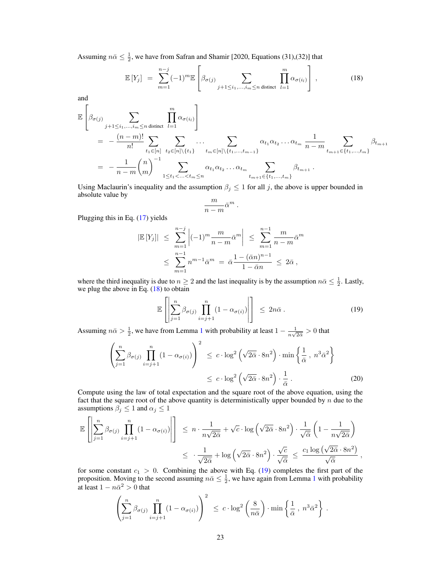Assuming  $n\bar{\alpha} \leq \frac{1}{2}$ , we have from Safran and Shamir [2020, Equations (31),(32)] that

$$
\mathbb{E}\left[Y_j\right] = \sum_{m=1}^{n-j} (-1)^m \mathbb{E}\left[\beta_{\sigma(j)} \sum_{j+1 \leq i_1, \dots, i_m \leq n \text{ distinct}} \prod_{l=1}^m \alpha_{\sigma(i_l)}\right],\tag{18}
$$

and

$$
\mathbb{E}\left[\beta_{\sigma(j)}\sum_{j+1\leq i_1,\dots,i_m\leq n \text{ distinct}}\prod_{l=1}^m \alpha_{\sigma(i_l)}\right]
$$
\n
$$
= -\frac{(n-m)!}{n!} \sum_{t_1\in[n]} \sum_{t_2\in[n]\backslash\{t_1\}} \dots \sum_{t_m\in[n]\backslash\{t_1,\dots,t_{m-1}\}} \alpha_{t_1}\alpha_{t_2}\dots\alpha_{t_m}\frac{1}{n-m} \sum_{t_{m+1}\in\{t_1,\dots,t_m\}} \beta_{t_{m+1}}
$$
\n
$$
= -\frac{1}{n-m} {n \choose m}^{-1} \sum_{1\leq t_1<\dots
$$

Using Maclaurin's inequality and the assumption  $\beta_j \leq 1$  for all j, the above is upper bounded in absolute value by

$$
\frac{m}{n-m}\bar{\alpha}^m.
$$

Plugging this in Eq. (17) yields

$$
|\mathbb{E}[Y_j]| \leq \sum_{m=1}^{n-j} \left| (-1)^m \frac{m}{n-m} \bar{\alpha}^m \right| \leq \sum_{m=1}^{n-1} \frac{m}{n-m} \bar{\alpha}^m
$$
  

$$
\leq \sum_{m=1}^{n-1} n^{m-1} \bar{\alpha}^m = \bar{\alpha} \frac{1 - (\bar{\alpha}n)^{n-1}}{1 - \bar{\alpha}n} \leq 2\bar{\alpha},
$$

where the third inequality is due to  $n \geq 2$  and the last inequality is by the assumption  $n\bar{\alpha} \leq \frac{1}{2}$ . Lastly, we plug the above in Eq. (18) to obtain

$$
\mathbb{E}\left[\left|\sum_{j=1}^{n}\beta_{\sigma(j)}\prod_{i=j+1}^{n}(1-\alpha_{\sigma(i)})\right|\right] \leq 2n\bar{\alpha}.
$$
 (19)

Assuming  $n\bar{\alpha} > \frac{1}{2}$ , we have from Lemma 1 with probability at least  $1 - \frac{1}{n\sqrt{2}}$  $\frac{1}{n\sqrt{2\bar{\alpha}}} > 0$  that

$$
\left(\sum_{j=1}^{n} \beta_{\sigma(j)} \prod_{i=j+1}^{n} (1 - \alpha_{\sigma(i)})\right)^2 \leq c \cdot \log^2\left(\sqrt{2\bar{\alpha}} \cdot 8n^2\right) \cdot \min\left\{\frac{1}{\bar{\alpha}}, n^3 \bar{\alpha}^2\right\}
$$

$$
\leq c \cdot \log^2\left(\sqrt{2\bar{\alpha}} \cdot 8n^2\right) \cdot \frac{1}{\bar{\alpha}}.
$$
 (20)

Compute using the law of total expectation and the square root of the above equation, using the fact that the square root of the above quantity is deterministically upper bounded by  $n$  due to the assumptions  $\beta_j \leq 1$  and  $\alpha_j \leq 1$ 

$$
\mathbb{E}\left[\left|\sum_{j=1}^{n}\beta_{\sigma(j)}\prod_{i=j+1}^{n}(1-\alpha_{\sigma(i)})\right|\right] \leq n\cdot\frac{1}{n\sqrt{2\bar{\alpha}}}+\sqrt{c}\cdot\log\left(\sqrt{2\bar{\alpha}}\cdot 8n^{2}\right)\cdot\frac{1}{\sqrt{\bar{\alpha}}}\left(1-\frac{1}{n\sqrt{2\bar{\alpha}}}\right)
$$

$$
\leq \frac{1}{\sqrt{2\bar{\alpha}}}+\log\left(\sqrt{2\bar{\alpha}}\cdot 8n^{2}\right)\cdot\frac{\sqrt{c}}{\sqrt{\bar{\alpha}}} \leq \frac{c_{1}\log\left(\sqrt{2\bar{\alpha}}\cdot 8n^{2}\right)}{\sqrt{\bar{\alpha}}},
$$

for some constant  $c_1 > 0$ . Combining the above with Eq. (19) completes the first part of the proposition. Moving to the second assuming  $n\bar{\alpha} \leq \frac{1}{2}$ , we have again from Lemma 1 with probability at least  $1 - n\bar{\alpha}^2 > 0$  that

$$
\left(\sum_{j=1}^n \beta_{\sigma(j)} \prod_{i=j+1}^n (1-\alpha_{\sigma(i)})\right)^2 \leq c \cdot \log^2\left(\frac{8}{n\bar{\alpha}}\right) \cdot \min\left\{\frac{1}{\bar{\alpha}}, n^3 \bar{\alpha}^2\right\}.
$$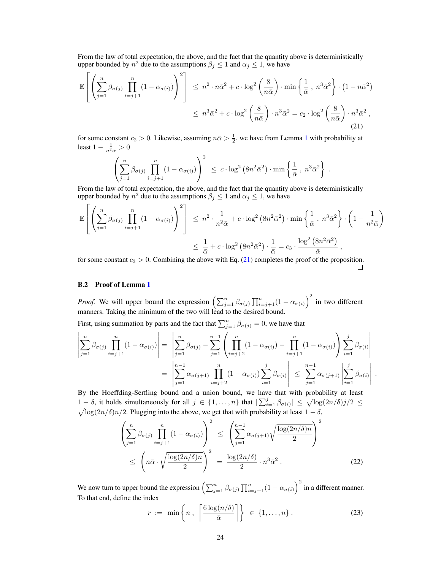From the law of total expectation, the above, and the fact that the quantity above is deterministically upper bounded by  $n^2$  due to the assumptions  $\beta_j \leq 1$  and  $\alpha_j \leq 1$ , we have

$$
\mathbb{E}\left[\left(\sum_{j=1}^{n}\beta_{\sigma(j)}\prod_{i=j+1}^{n}(1-\alpha_{\sigma(i)})\right)^{2}\right] \leq n^{2}\cdot n\bar{\alpha}^{2} + c\cdot\log^{2}\left(\frac{8}{n\bar{\alpha}}\right)\cdot\min\left\{\frac{1}{\bar{\alpha}}, n^{3}\bar{\alpha}^{2}\right\}\cdot\left(1-n\bar{\alpha}^{2}\right)
$$

$$
\leq n^{3}\bar{\alpha}^{2} + c\cdot\log^{2}\left(\frac{8}{n\bar{\alpha}}\right)\cdot n^{3}\bar{\alpha}^{2} = c_{2}\cdot\log^{2}\left(\frac{8}{n\bar{\alpha}}\right)\cdot n^{3}\bar{\alpha}^{2},\tag{21}
$$

for some constant  $c_2 > 0$ . Likewise, assuming  $n\bar{\alpha} > \frac{1}{2}$ , we have from Lemma 1 with probability at least  $1 - \frac{1}{n^2 \bar{\alpha}} > 0$ 

$$
\left(\sum_{j=1}^n \beta_{\sigma(j)} \prod_{i=j+1}^n (1-\alpha_{\sigma(i)})\right)^2 \leq c \cdot \log^2\left(8n^2\bar{\alpha}^2\right) \cdot \min\left\{\frac{1}{\bar{\alpha}}, n^3\bar{\alpha}^2\right\}.
$$

From the law of total expectation, the above, and the fact that the quantity above is deterministically upper bounded by  $n^2$  due to the assumptions  $\beta_j \leq 1$  and  $\alpha_j \leq 1$ , we have

$$
\mathbb{E}\left[\left(\sum_{j=1}^{n}\beta_{\sigma(j)}\prod_{i=j+1}^{n}(1-\alpha_{\sigma(i)})\right)^{2}\right] \leq n^{2}\cdot\frac{1}{n^{2}\bar{\alpha}}+c\cdot\log^{2}(8n^{2}\bar{\alpha}^{2})\cdot\min\left\{\frac{1}{\bar{\alpha}}, n^{3}\bar{\alpha}^{2}\right\}\cdot\left(1-\frac{1}{n^{2}\bar{\alpha}}\right)
$$

$$
\leq \frac{1}{\bar{\alpha}}+c\cdot\log^{2}(8n^{2}\bar{\alpha}^{2})\cdot\frac{1}{\bar{\alpha}}=c_{3}\cdot\frac{\log^{2}(8n^{2}\bar{\alpha}^{2})}{\bar{\alpha}},
$$

for some constant  $c_3 > 0$ . Combining the above with Eq. (21) completes the proof of the proposition.  $\Box$ 

## B.2 Proof of Lemma 1

*Proof.* We will upper bound the expression  $\left(\sum_{j=1}^n \beta_{\sigma(j)} \prod_{i=j+1}^n (1 - \alpha_{\sigma(i)})^2 \right)$  in two different manners. Taking the minimum of the two will lead to the desired bound.

First, using summation by parts and the fact that  $\sum_{j=1}^{n} \beta_{\sigma(j)} = 0$ , we have that

$$
\left| \sum_{j=1}^{n} \beta_{\sigma(j)} \prod_{i=j+1}^{n} (1 - \alpha_{\sigma(i)}) \right| = \left| \sum_{j=1}^{n} \beta_{\sigma(j)} - \sum_{j=1}^{n-1} \left( \prod_{i=j+2}^{n} (1 - \alpha_{\sigma(i)}) - \prod_{i=j+1}^{n} (1 - \alpha_{\sigma(i)}) \right) \sum_{i=1}^{j} \beta_{\sigma(i)} \right|
$$

$$
= \left| \sum_{j=1}^{n-1} \alpha_{\sigma(j+1)} \prod_{i=j+2}^{n} (1 - \alpha_{\sigma(i)}) \sum_{i=1}^{j} \beta_{\sigma(i)} \right| \leq \sum_{j=1}^{n-1} \alpha_{\sigma(j+1)} \left| \sum_{i=1}^{j} \beta_{\sigma(i)} \right|.
$$

By the Hoeffding-Serfling bound and a union bound, we have that with probability at least 1 –  $\delta$ , it holds simultaneously for all  $j \in \{1, ..., n\}$  that  $|\sum_{i=1}^{j} \beta_{\sigma(i)}| \leq \sqrt{\log(2n/\delta)j/2} \leq$  $\sqrt{\log(2n/\delta)n/2}$ . Plugging into the above, we get that with probability at least  $1 - \delta$ ,

$$
\left(\sum_{j=1}^{n} \beta_{\sigma(j)} \prod_{i=j+1}^{n} (1 - \alpha_{\sigma(i)})\right)^2 \le \left(\sum_{j=1}^{n-1} \alpha_{\sigma(j+1)} \sqrt{\frac{\log(2n/\delta)n}{2}}\right)^2
$$
  

$$
\le \left(n\bar{\alpha} \cdot \sqrt{\frac{\log(2n/\delta)n}{2}}\right)^2 = \frac{\log(2n/\delta)}{2} \cdot n^3 \bar{\alpha}^2.
$$
 (22)

We now turn to upper bound the expression  $\left(\sum_{j=1}^n \beta_{\sigma(j)} \prod_{i=j+1}^n (1 - \alpha_{\sigma(i)})\right)^2$  in a different manner. To that end, define the index

$$
r := \min\left\{n, \left\lceil \frac{6\log(n/\delta)}{\bar{\alpha}} \right\rceil \right\} \in \{1, \dots, n\}.
$$
 (23)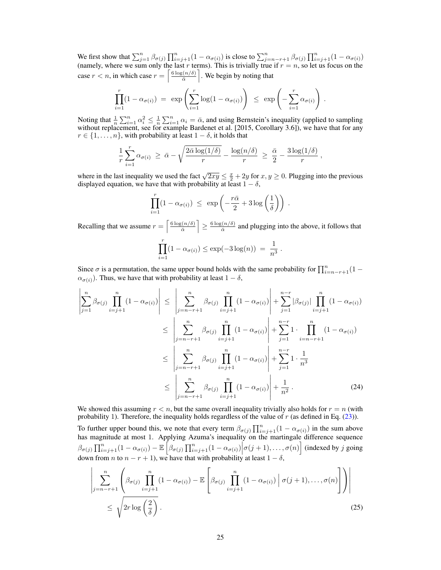We first show that  $\sum_{j=1}^{n} \beta_{\sigma(j)} \prod_{i=j+1}^{n} (1 - \alpha_{\sigma(i)})$  is close to  $\sum_{j=n-r+1}^{n} \beta_{\sigma(j)} \prod_{i=j+1}^{n} (1 - \alpha_{\sigma(i)})$ (namely, where we sum only the last r terms). This is trivially true if  $r = n$ , so let us focus on the case  $r < n$ , in which case  $r = \left\lceil \frac{6 \log(n/\delta)}{\bar{\alpha}} \right\rceil$  $\sqrt{\frac{n}{\bar{\alpha}}}$ . We begin by noting that

$$
\prod_{i=1}^r (1 - \alpha_{\sigma(i)}) = \exp \left( \sum_{i=1}^r \log(1 - \alpha_{\sigma(i)}) \right) \le \exp \left( - \sum_{i=1}^r \alpha_{\sigma(i)} \right).
$$

Noting that  $\frac{1}{n} \sum_{i=1}^n \alpha_i^2 \leq \frac{1}{n} \sum_{i=1}^n \alpha_i = \bar{\alpha}$ , and using Bernstein's inequality (applied to sampling without replacement, see for example Bardenet et al. [2015, Corollary 3.6]), we have that for any  $r \in \{1, \ldots, n\}$ , with probability at least  $1 - \delta$ , it holds that

$$
\frac{1}{r}\sum_{i=1}^r \alpha_{\sigma(i)} \ \geq \ \bar{\alpha} - \sqrt{\frac{2\bar{\alpha}\log(1/\delta)}{r}} - \frac{\log(n/\delta)}{r} \ \geq \ \frac{\bar{\alpha}}{2} - \frac{3\log(1/\delta)}{r} \ ,
$$

where in the last inequality we used the fact  $\sqrt{2xy} \le \frac{x}{2} + 2y$  for  $x, y \ge 0$ . Plugging into the previous displayed equation, we have that with probability at least  $1 - \delta$ ,

$$
\prod_{i=1}^r (1 - \alpha_{\sigma(i)}) \ \leq \ \exp\left(-\frac{r\bar{\alpha}}{2} + 3\log\left(\frac{1}{\delta}\right)\right) \ .
$$

Recalling that we assume  $r = \left\lceil \frac{6 \log(n/\delta)}{\delta} \right\rceil$  $\left| \frac{\sin(\frac{n}{\delta})}{\bar{\alpha}} \right| \geq \frac{6 \log(n/\delta)}{\bar{\alpha}}$  $\frac{\partial \bar{a}}{\partial \bar{a}}$  and plugging into the above, it follows that

$$
\prod_{i=1}^{r} (1 - \alpha_{\sigma(i)}) \le \exp(-3 \log(n)) = \frac{1}{n^3}.
$$

Since  $\sigma$  is a permutation, the same upper bound holds with the same probability for  $\prod_{i=n-r+1}^{n} (1 \alpha_{\sigma(i)}$ ). Thus, we have that with probability at least  $1 - \delta$ ,

$$
\left| \sum_{j=1}^{n} \beta_{\sigma(j)} \prod_{i=j+1}^{n} (1 - \alpha_{\sigma(i)}) \right| \leq \left| \sum_{j=n-r+1}^{n} \beta_{\sigma(j)} \prod_{i=j+1}^{n} (1 - \alpha_{\sigma(i)}) \right| + \sum_{j=1}^{n-r} |\beta_{\sigma(j)}| \prod_{i=j+1}^{n} (1 - \alpha_{\sigma(i)})
$$
  
\n
$$
\leq \left| \sum_{j=n-r+1}^{n} \beta_{\sigma(j)} \prod_{i=j+1}^{n} (1 - \alpha_{\sigma(i)}) \right| + \sum_{j=1}^{n-r} 1 \cdot \prod_{i=n-r+1}^{n} (1 - \alpha_{\sigma(i)})
$$
  
\n
$$
\leq \left| \sum_{j=n-r+1}^{n} \beta_{\sigma(j)} \prod_{i=j+1}^{n} (1 - \alpha_{\sigma(i)}) \right| + \sum_{j=1}^{n-r} 1 \cdot \frac{1}{n^3}
$$
  
\n
$$
\leq \left| \sum_{j=n-r+1}^{n} \beta_{\sigma(j)} \prod_{i=j+1}^{n} (1 - \alpha_{\sigma(i)}) \right| + \frac{1}{n^2}.
$$
 (24)

We showed this assuming  $r < n$ , but the same overall inequality trivially also holds for  $r = n$  (with probability 1). Therefore, the inequality holds regardless of the value of  $r$  (as defined in Eq. (23)).

To further upper bound this, we note that every term  $\beta_{\sigma(j)} \prod_{i=j+1}^n (1 - \alpha_{\sigma(i)})$  in the sum above has magnitude at most 1. Applying Azuma's inequality on the martingale difference sequence  $\beta_{\sigma(j)} \prod_{i=j+1}^{n} (1 - \alpha_{\sigma(i)}) - \mathbb{E} \left[ \beta_{\sigma(j)} \prod_{i=j+1}^{n} (1 - \alpha_{\sigma(i)}) \middle| \sigma(j+1), \ldots, \sigma(n) \right]$  (indexed by j going down from *n* to  $n - r + 1$ ), we have that with probability at least  $1 - \delta$ ,

$$
\left| \sum_{j=n-r+1}^{n} \left( \beta_{\sigma(j)} \prod_{i=j+1}^{n} (1 - \alpha_{\sigma(i)}) - \mathbb{E} \left[ \beta_{\sigma(j)} \prod_{i=j+1}^{n} (1 - \alpha_{\sigma(i)}) \middle| \sigma(j+1), \dots, \sigma(n) \right] \right) \right|
$$
  
 
$$
\leq \sqrt{2r \log \left( \frac{2}{\delta} \right)} . \tag{25}
$$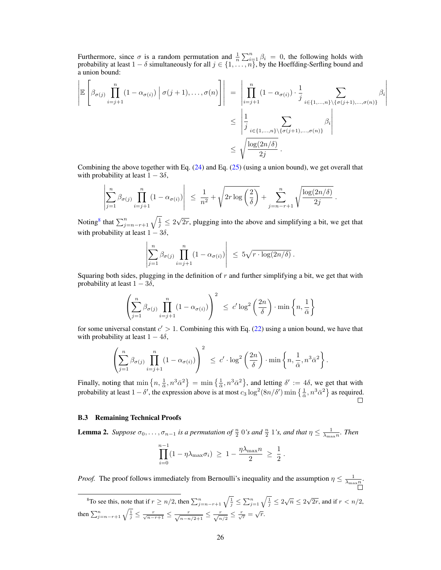Furthermore, since  $\sigma$  is a random permutation and  $\frac{1}{n} \sum_{i=1}^{n} \beta_i = 0$ , the following holds with probability at least  $1 - \delta$  simultaneously for all  $j \in \{1, \ldots, n\}$ , by the Hoeffding-Serfling bound and a union bound:

$$
\left| \mathbb{E} \left[ \beta_{\sigma(j)} \prod_{i=j+1}^{n} (1 - \alpha_{\sigma(i)}) \middle| \sigma(j+1), \dots, \sigma(n) \right] \right| = \left| \prod_{i=j+1}^{n} (1 - \alpha_{\sigma(i)}) \cdot \frac{1}{j} \sum_{i \in \{1, \dots, n\} \setminus \{\sigma(j+1), \dots, \sigma(n)\}} \beta_i \right|
$$
  

$$
\leq \left| \frac{1}{j} \sum_{i \in \{1, \dots, n\} \setminus \{\sigma(j+1), \dots, \sigma(n)\}} \beta_i \right|
$$
  

$$
\leq \sqrt{\frac{\log(2n/\delta)}{2j}}.
$$

Combining the above together with Eq. (24) and Eq. (25) (using a union bound), we get overall that with probability at least  $1 - 3\delta$ ,

$$
\left|\sum_{j=1}^n \beta_{\sigma(j)} \prod_{i=j+1}^n (1-\alpha_{\sigma(i)})\right| \leq \frac{1}{n^2} + \sqrt{2r \log\left(\frac{2}{\delta}\right)} + \sum_{j=n-r+1}^n \sqrt{\frac{\log(2n/\delta)}{2j}}.
$$

Noting<sup>8</sup> that  $\sum_{j=n-r+1}^{n} \sqrt{\frac{1}{j}} \leq 2$ √  $2r$ , plugging into the above and simplifying a bit, we get that with probability at least  $1 - 3\delta$ ,

$$
\left|\sum_{j=1}^n \beta_{\sigma(j)} \prod_{i=j+1}^n (1-\alpha_{\sigma(i)})\right| \leq 5\sqrt{r \cdot \log(2n/\delta)}.
$$

Squaring both sides, plugging in the definition of  $r$  and further simplifying a bit, we get that with probability at least  $1 - 3\delta$ ,

$$
\left(\sum_{j=1}^n \beta_{\sigma(j)} \prod_{i=j+1}^n (1 - \alpha_{\sigma(i)})\right)^2 \le c' \log^2\left(\frac{2n}{\delta}\right) \cdot \min\left\{n, \frac{1}{\bar{\alpha}}\right\}
$$

for some universal constant  $c' > 1$ . Combining this with Eq. (22) using a union bound, we have that with probability at least  $1 - 4\delta$ ,

$$
\left(\sum_{j=1}^n \beta_{\sigma(j)} \prod_{i=j+1}^n (1-\alpha_{\sigma(i)})\right)^2 \leq c' \cdot \log^2\left(\frac{2n}{\delta}\right) \cdot \min\left\{n, \frac{1}{\bar{\alpha}}, n^3 \bar{\alpha}^2\right\}.
$$

Finally, noting that  $\min\left\{n, \frac{1}{\alpha}, n^3\bar{\alpha}^2\right\} = \min\left\{\frac{1}{\alpha}, n^3\bar{\alpha}^2\right\}$ , and letting  $\delta' := 4\delta$ , we get that with probability at least  $1 - \delta'$ , the expression above is at most  $c_3 \log^2(8n/\delta') \min\left\{\frac{1}{\alpha}, n^3 \bar{\alpha}^2\right\}$  as required.

#### B.3 Remaining Technical Proofs

**Lemma 2.** Suppose  $\sigma_0, \ldots, \sigma_{n-1}$  is a permutation of  $\frac{n}{2}$  0's and  $\frac{n}{2}$  1's, and that  $\eta \leq \frac{1}{\lambda_{\max}n}$ . Then

$$
\prod_{i=0}^{n-1} (1 - \eta \lambda_{\max} \sigma_i) \geq 1 - \frac{\eta \lambda_{\max} n}{2} \geq \frac{1}{2}.
$$

*Proof.* The proof follows immediately from Bernoulli's inequality and the assumption  $\eta \le \frac{1}{\lambda_{\max} n}$ .

<sup>8</sup>To see this, note that if  $r \ge n/2$ , then  $\sum_{j=n-r+1}^{n} \sqrt{\frac{1}{j}} \le \sum_{j=1}^{n} \sqrt{\frac{1}{j}} \le 2\sqrt{n} \le 2\sqrt{2r}$ , and if  $r < n/2$ , then  $\sum_{j=n-r+1}^{n} \sqrt{\frac{1}{j}} \leq \frac{r}{\sqrt{n-r+1}} \leq \frac{r}{\sqrt{n-1/2+1}} \leq \frac{r}{\sqrt{n/2}} \leq \frac{r}{\sqrt{r}} = \sqrt{r}.$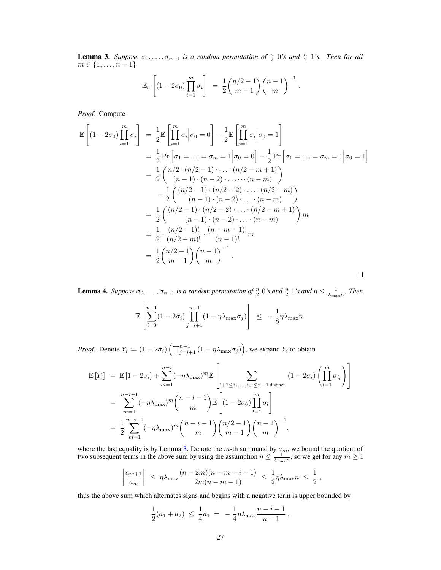**Lemma 3.** Suppose  $\sigma_0, \ldots, \sigma_{n-1}$  is a random permutation of  $\frac{n}{2}$  0's and  $\frac{n}{2}$  1's. Then for all  $m \in \{1, \ldots, n-1\}$ 

$$
\mathbb{E}_{\sigma}\left[\left(1-2\sigma_0\right)\prod_{i=1}^m\sigma_i\right] = \frac{1}{2}\binom{n/2-1}{m-1}\binom{n-1}{m}^{-1}.
$$

*Proof.* Compute

$$
\mathbb{E}\left[(1-2\sigma_{0})\prod_{i=1}^{m}\sigma_{i}\right] = \frac{1}{2}\mathbb{E}\left[\prod_{i=1}^{m}\sigma_{i}\Big|\sigma_{0}=0\right] - \frac{1}{2}\mathbb{E}\left[\prod_{i=1}^{m}\sigma_{i}\Big|\sigma_{0}=1\right]
$$
  
\n
$$
= \frac{1}{2}\Pr\left[\sigma_{1}=\ldots=\sigma_{m}=1\Big|\sigma_{0}=0\right] - \frac{1}{2}\Pr\left[\sigma_{1}=\ldots=\sigma_{m}=1\Big|\sigma_{0}=1\right]
$$
  
\n
$$
= \frac{1}{2}\left(\frac{n/2\cdot(n/2-1)\cdot\ldots(n/2-m+1)}{(n-1)\cdot(n-2)\cdot\ldots\cdot(n-m)}\right)
$$
  
\n
$$
- \frac{1}{2}\left(\frac{(n/2-1)\cdot(n/2-2)\cdot\ldots(n/2-m)}{(n-1)\cdot(n-2)\cdot\ldots(n/2-m+1)}\right)
$$
  
\n
$$
= \frac{1}{2}\left(\frac{(n/2-1)\cdot(n/2-2)\cdot\ldots(n/2-m+1)}{(n-1)\cdot(n-2)\cdot\ldots(n-m)}\right)m
$$
  
\n
$$
= \frac{1}{2}\cdot\frac{(n/2-1)!}{(n/2-m)!}\cdot\frac{(n-m-1)!}{(n-1)!}m
$$
  
\n
$$
= \frac{1}{2}\binom{n/2-1}{m-1}\binom{n-1}{m}^{-1}.
$$

**Lemma 4.** Suppose  $\sigma_0, \ldots, \sigma_{n-1}$  is a random permutation of  $\frac{n}{2}$  0's and  $\frac{n}{2}$  1's and  $\eta \leq \frac{1}{\lambda_{\max}n}$ . Then

$$
\mathbb{E}\left[\sum_{i=0}^{n-1} (1-2\sigma_i) \prod_{j=i+1}^{n-1} (1-\eta\lambda_{\max}\sigma_j)\right] \leq -\frac{1}{8}\eta\lambda_{\max}n.
$$

*Proof.* Denote  $Y_i \coloneqq (1 - 2\sigma_i) \left( \prod_{j=i+1}^{n-1} (1 - \eta \lambda_{\max} \sigma_j) \right)$ , we expand  $Y_i$  to obtain

$$
\mathbb{E}\left[Y_i\right] = \mathbb{E}\left[1 - 2\sigma_i\right] + \sum_{m=1}^{n-i} (-\eta \lambda_{\max})^m \mathbb{E}\left[\sum_{i+1 \le i_1, \dots, i_m \le n-1 \text{ distinct}} (1 - 2\sigma_i) \left(\prod_{l=1}^m \sigma_{i_l}\right)\right]
$$

$$
= \sum_{m=1}^{n-i-1} (-\eta \lambda_{\max})^m {n-i-1 \choose m} \mathbb{E}\left[(1 - 2\sigma_0) \prod_{l=1}^m \sigma_l\right]
$$

$$
= \frac{1}{2} \sum_{m=1}^{n-i-1} (-\eta \lambda_{\max})^m {n-i-1 \choose m} {n/2-1 \choose m-1} {n-1 \choose m},
$$

where the last equality is by Lemma 3. Denote the m-th summand by  $a_m$ , we bound the quotient of two subsequent terms in the above sum by using the assumption  $\eta \le \frac{1}{\lambda_{\max}n}$ , so we get for any  $m \ge 1$ 

$$
\left|\frac{a_{m+1}}{a_m}\right| \leq \eta \lambda_{\max} \frac{(n-2m)(n-m-i-1)}{2m(n-m-1)} \leq \frac{1}{2} \eta \lambda_{\max} n \leq \frac{1}{2},
$$

thus the above sum which alternates signs and begins with a negative term is upper bounded by

$$
\frac{1}{2}(a_1 + a_2) \leq \frac{1}{4}a_1 = -\frac{1}{4}\eta \lambda_{\max} \frac{n-i-1}{n-1},
$$